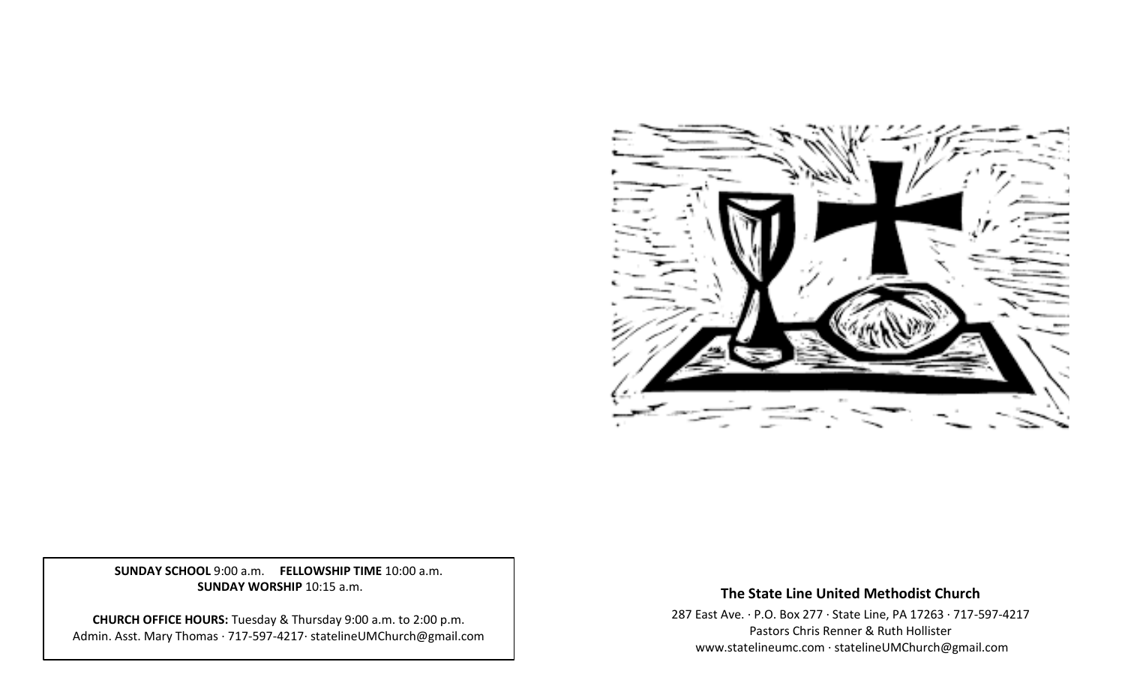

**SUNDAY SCHOOL** 9:00 a.m. **FELLOWSHIP TIME** 10:00 a.m. **SUNDAY WORSHIP** 10:15 a.m.

**CHURCH OFFICE HOURS:** Tuesday & Thursday 9:00 a.m. to 2:00 p.m. Admin. Asst. Mary Thomas · 717-597-4217· statelineUMChurch@gmail.com

# **The State Line United Methodist Church**

287 East Ave. · P.O. Box 277 · State Line, PA 17263 · 717-597-4217 Pastors Chris Renner & Ruth Hollister [www.statelineumc.com](http://www.statelineumc.com/) · statelineUMChurch@gmail.com